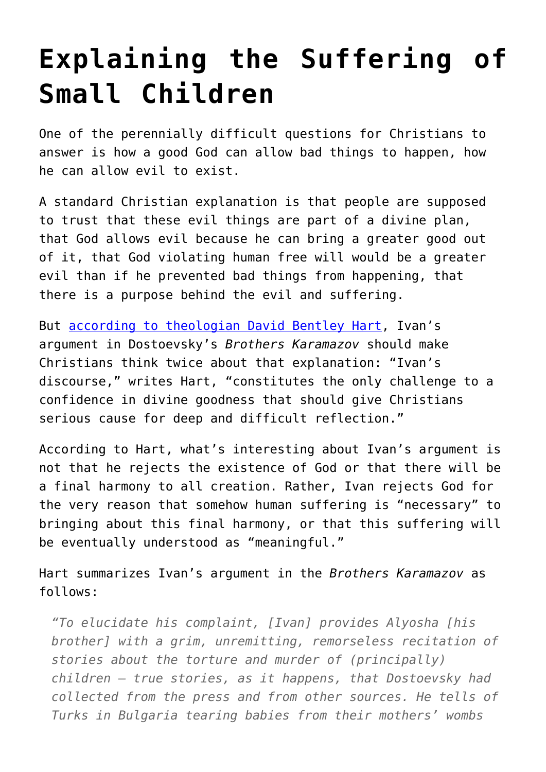## **[Explaining the Suffering of](https://intellectualtakeout.org/2015/09/explaining-the-suffering-of-small-children/) [Small Children](https://intellectualtakeout.org/2015/09/explaining-the-suffering-of-small-children/)**

One of the perennially difficult questions for Christians to answer is how a good God can allow bad things to happen, how he can allow evil to exist.

A standard Christian explanation is that people are supposed to trust that these evil things are part of a divine plan, that God allows evil because he can bring a greater good out of it, that God violating human free will would be a greater evil than if he prevented bad things from happening, that there is a purpose behind the evil and suffering.

But [according to theologian David Bentley Hart](http://www.amazon.com/Doors-Sea-Where-Was-Tsunami/dp/0802866867/ref=sr_1_1?s=books&ie=UTF8&qid=1441131745&sr=1-1&keywords=hart+doors+of+the+seas&pebp=1441131750841&perid=1NM33AYAVVWEBEG9KX7J), Ivan's argument in Dostoevsky's *Brothers Karamazov* should make Christians think twice about that explanation: "Ivan's discourse," writes Hart, "constitutes the only challenge to a confidence in divine goodness that should give Christians serious cause for deep and difficult reflection."

According to Hart, what's interesting about Ivan's argument is not that he rejects the existence of God or that there will be a final harmony to all creation. Rather, Ivan rejects God for the very reason that somehow human suffering is "necessary" to bringing about this final harmony, or that this suffering will be eventually understood as "meaningful."

Hart summarizes Ivan's argument in the *Brothers Karamazov* as follows:

*"To elucidate his complaint, [Ivan] provides Alyosha [his brother] with a grim, unremitting, remorseless recitation of stories about the torture and murder of (principally) children – true stories, as it happens, that Dostoevsky had collected from the press and from other sources. He tells of Turks in Bulgaria tearing babies from their mothers' wombs*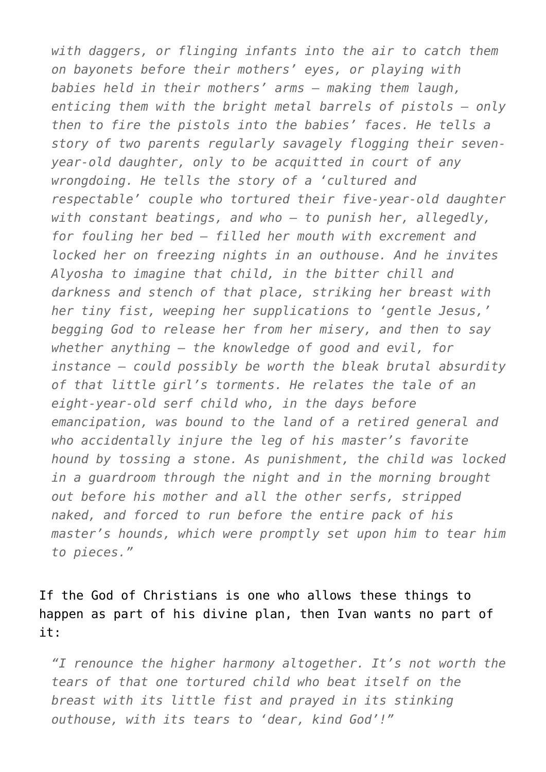*with daggers, or flinging infants into the air to catch them on bayonets before their mothers' eyes, or playing with babies held in their mothers' arms – making them laugh, enticing them with the bright metal barrels of pistols – only then to fire the pistols into the babies' faces. He tells a story of two parents regularly savagely flogging their sevenyear-old daughter, only to be acquitted in court of any wrongdoing. He tells the story of a 'cultured and respectable' couple who tortured their five-year-old daughter with constant beatings, and who – to punish her, allegedly, for fouling her bed – filled her mouth with excrement and locked her on freezing nights in an outhouse. And he invites Alyosha to imagine that child, in the bitter chill and darkness and stench of that place, striking her breast with her tiny fist, weeping her supplications to 'gentle Jesus,' begging God to release her from her misery, and then to say whether anything – the knowledge of good and evil, for instance – could possibly be worth the bleak brutal absurdity of that little girl's torments. He relates the tale of an eight-year-old serf child who, in the days before emancipation, was bound to the land of a retired general and who accidentally injure the leg of his master's favorite hound by tossing a stone. As punishment, the child was locked in a guardroom through the night and in the morning brought out before his mother and all the other serfs, stripped naked, and forced to run before the entire pack of his master's hounds, which were promptly set upon him to tear him to pieces."*

If the God of Christians is one who allows these things to happen as part of his divine plan, then Ivan wants no part of it:

*"I renounce the higher harmony altogether. It's not worth the tears of that one tortured child who beat itself on the breast with its little fist and prayed in its stinking outhouse, with its tears to 'dear, kind God'!"*